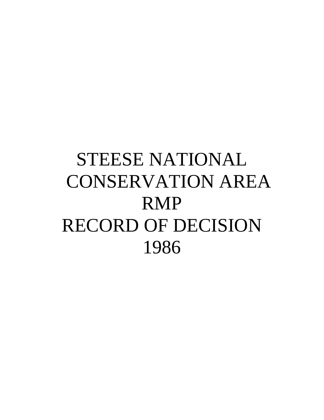# STEESE NATIONAL CONSERVATION AREA RMP RECORD OF DECISION 1986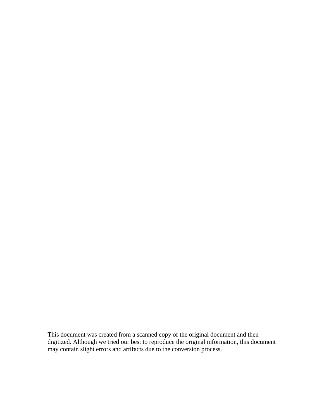This document was created from a scanned copy of the original document and then digitized. Although we tried our best to reproduce the original information, this document may contain slight errors and artifacts due to the conversion process.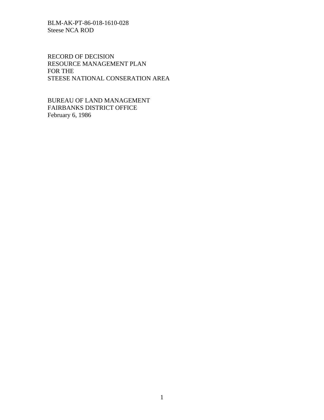RECORD OF DECISION RESOURCE MANAGEMENT PLAN FOR THE STEESE NATIONAL CONSERATION AREA

BUREAU OF LAND MANAGEMENT FAIRBANKS DISTRICT OFFICE February 6, 1986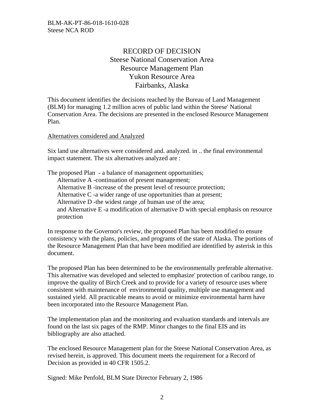# RECORD OF DECISION Steese National Conservation Area Resource Management Plan Yukon Resource Area Fairbanks, Alaska

This document identifies the decisions reached by the Bureau of Land Management (BLM) for managing 1.2 million acres of public land within the Steese' National Conservation Area. The decisions are presented in the enclosed Resource Management Plan.

#### Alternatives considered and Analyzed

Six land use alternatives were considered and. analyzed. in .. the final environmental impact statement. The six alternatives analyzed are :

The proposed Plan - a balance of management opportunities; Alternative A -continuation of present management; Alternative B -increase of the present level of resource protection; Alternative C -a wider range of use opportunities than at present; Alternative D -the widest range ,of human use of the area; and Alternative E -a modification of alternative D with special emphasis on resource protection

In response to the Governor's review, the proposed Plan has been modified to ensure consistency with the plans, policies, and programs of the state of Alaska. The portions of the Resource Management Plan that have been modified are identified by asterisk in this document.

The proposed Plan has been determined to be the environmentally preferable alternative. This alternative was developed and selected to emphasize' protection of caribou range, to improve the quality of Birch Creek and to provide for a variety of resource uses where consistent with maintenance of environmental quality, multiple use management and sustained yield. All practicable means to avoid or minimize environmental harm have been incorporated into the Resource Management Plan.

The implementation plan and the monitoring and evaluation standards and intervals are found on the last six pages of the RMP. Minor changes to the final EIS and its bibliography are also attached.

The enclosed Resource Management plan for the Steese National Conservation Area, as revised herein, is approved. This document meets the requirement for a Record of Decision as provided in 40 CFR 1505.2.

Signed: Mike Penfold, BLM State Director February 2, 1986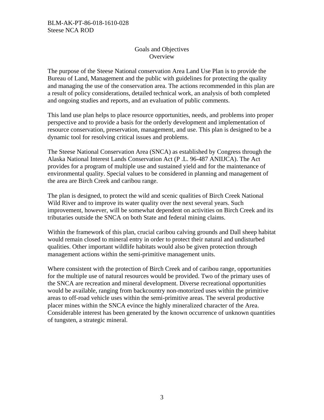## Goals and Objectives **Overview**

The purpose of the Steese National conservation Area Land Use Plan is to provide the Bureau of Land, Management and the public with guidelines for protecting the quality and managing the use of the conservation area. The actions recommended in this plan are a result of policy considerations, detailed technical work, an analysis of both completed and ongoing studies and reports, and an evaluation of public comments.

This land use plan helps to place resource opportunities, needs, and problems into proper perspective and to provide a basis for the orderly development and implementation of resource conservation, preservation, management, and use. This plan is designed to be a dynamic tool for resolving critical issues and problems.

The Steese National Conservation Area (SNCA) as established by Congress through the Alaska National Interest Lands Conservation Act (P .L. 96-487 ANIIJCA). The Act provides for a program of multiple use and sustained yield and for the maintenance of environmental quality. Special values to be considered in planning and management of the area are Birch Creek and caribou range.

The plan is designed, to protect the wild and scenic qualities of Birch Creek National Wild River and to improve its water quality over the next several years. Such improvement, however, will be somewhat dependent on activities on Birch Creek and its tributaries outside the SNCA on both State and federal mining claims.

Within the framework of this plan, crucial caribou calving grounds and Dall sheep habitat would remain closed to mineral entry in order to protect their natural and undisturbed qualities. Other important wildlife habitats would also be given protection through management actions within the semi-primitive management units.

Where consistent with the protection of Birch Creek and of caribou range, opportunities for the multiple use of natural resources would be provided. Two of the primary uses of the SNCA are recreation and mineral development. Diverse recreational opportunities would be available, ranging from backcountry non-motorized uses within the primitive areas to off-road vehicle uses within the semi-primitive areas. The several productive placer mines within the SNCA evince the highly mineralized character of the Area. Considerable interest has been generated by the known occurrence of unknown quantities of tungsten, a strategic mineral.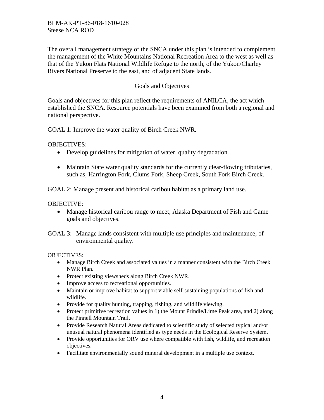The overall management strategy of the SNCA under this plan is intended to complement the management of the White Mountains National Recreation Area to the west as well as that of the Yukon Flats National Wildlife Refuge to the north, of the Yukon/Charley Rivers National Preserve to the east, and of adjacent State lands.

## Goals and Objectives

Goals and objectives for this plan reflect the requirements of ANILCA, the act which established the SNCA. Resource potentials have been examined from both a regional and national perspective.

GOAL 1: Improve the water quality of Birch Creek NWR.

OBJECTIVES:

- Develop guidelines for mitigation of water. quality degradation.
- Maintain State water quality standards for the currently clear-flowing tributaries, such as, Harrington Fork, Clums Fork, Sheep Creek, South Fork Birch Creek.

GOAL 2: Manage present and historical caribou habitat as a primary land use.

## OBJECTIVE:

- Manage historical caribou range to meet; Alaska Department of Fish and Game goals and objectives.
- GOAL 3: Manage lands consistent with multiple use principles and maintenance, of environmental quality.

OBJECTIVES:

- Manage Birch Creek and associated values in a manner consistent with the Birch Creek NWR Plan.
- Protect existing viewsheds along Birch Creek NWR.
- Improve access to recreational opportunities.
- Maintain or improve habitat to support viable self-sustaining populations of fish and wildlife.
- Provide for quality hunting, trapping, fishing, and wildlife viewing.
- Protect primitive recreation values in 1) the Mount Prindle/Lime Peak area, and 2) along the Pinnell Mountain Trail.
- Provide Research Natural Areas dedicated to scientific study of selected typical and/or unusual natural phenomena identified as type needs in the Ecological Reserve System.
- Provide opportunities for ORV use where compatible with fish, wildlife, and recreation objectives.
- Facilitate environmentally sound mineral development in a multiple use context.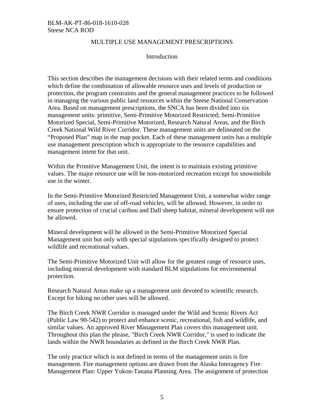#### MULTIPLE USE MANAGEMENT PRESCRIPTIONS

#### Introduction

This section describes the management decisions with their related terms and conditions which define the combination of allowable resource uses and levels of production or protection, the program constraints and the general management practices to be followed in managing the various public land resources within the Steese National Conservation Area. Based on management prescriptions, the SNCA has been divided into six management units: primitive, Semi-Primitive Motorized Restricted; Semi-Primitive Motorized Special, Semi-Primitive Motorized, Research Natural Areas, and the Birch Creek National Wild River Corridor. These management units are delineated on the "Proposed Plan" map in the map pocket. Each of these management units has a multiple use management prescription which is appropriate to the resource capabilities and management intent for that unit.

Within the Primitive Management Unit, the intent is to maintain existing primitive values. The major resource use will be non-motorized recreation except for snowmobile use in the winter.

In the Semi-Primitive Motorized Restricted Management Unit, a somewhat wider range of uses, including the use of off-road vehicles, will be allowed. However, in order to ensure protection of crucial caribou and Dall sheep habitat, mineral development will not be allowed.

Mineral development will be allowed in the Semi-Primitive Motorized Special Management unit but only with special stipulations specifically designed to protect wildlife and recreational values.

The Semi-Primitive Motorized Unit will allow for the greatest range of resource uses, including mineral development with standard BLM stipulations for environmental protection.

Research Natural Areas make up a management unit devoted to scientific research. Except for hiking no other uses will be allowed.

The Birch Creek NWR Corridor is managed under the Wild and Scenic Rivers Act (Public Law 90-542) to protect and enhance scenic, recreational, fish and wildlife, and similar values. An approved River Management Plan covers this management unit. Throughout this plan the phrase, "Birch Creek NWR Corridor," is used to indicate the lands within the NWR boundaries as defined in the Birch Creek NWR Plan.

The only practice which is not defined in terms of the management units is fire management. Fire management options are drawn from the Alaska Interagency Fire Management Plan: Upper Yukon-Tanana Planning Area. The assignment of protection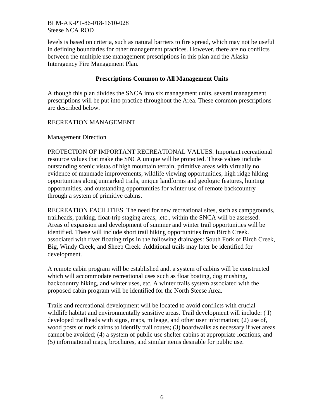levels is based on criteria, such as natural barriers to fire spread, which may not be useful in defining boundaries for other management practices. However, there are no conflicts between the multiple use management prescriptions in this plan and the Alaska Interagency Fire Management Plan.

## **Prescriptions Common to All Management Units**

Although this plan divides the SNCA into six management units, several management prescriptions will be put into practice throughout the Area. These common prescriptions are described below.

## RECREATION MANAGEMENT

Management Direction

PROTECTION OF IMPORTANT RECREATIONAL VALUES. Important recreational resource values that make the SNCA unique will be protected. These values include outstanding scenic vistas of high mountain terrain, primitive areas with virtually no evidence of manmade improvements, wildlife viewing opportunities, high ridge hiking opportunities along unmarked trails, unique landforms and geologic features, hunting opportunities, and outstanding opportunities for winter use of remote backcountry through a system of primitive cabins.

RECREATION FACILITIES. The need for new recreational sites, such as campgrounds, trailheads, parking, float-trip staging areas, .etc., within the SNCA will be assessed. Areas of expansion and development of summer and winter trail opportunities will be identified. These will include short trail hiking opportunities from Birch Creek. associated with river floating trips in the following drainages: South Fork of Birch Creek, Big, Windy Creek, and Sheep Creek. Additional trails may later be identified for development.

A remote cabin program will be established and. a system of cabins will be constructed which will accommodate recreational uses such as float boating, dog mushing, backcountry hiking, and winter uses, etc. A winter trails system associated with the proposed cabin program will be identified for the North Steese Area.

Trails and recreational development will be located to avoid conflicts with crucial wildlife habitat and environmentally sensitive areas. Trail development will include: ( I) developed trailheads with signs, maps, mileage, and other user information; (2) use of, wood posts or rock cairns to identify trail routes; (3) boardwalks as necessary if wet areas cannot be avoided; (4) a system of public use shelter cabins at appropriate locations, and (5) informational maps, brochures, and similar items desirable for public use.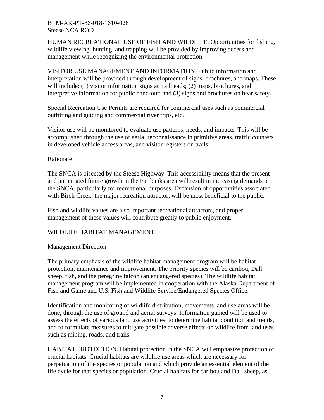HUMAN RECREATIONAL USE OF FISH AND WILDLIFE. Opportunities for fishing, wildlife viewing, hunting, and trapping will be provided by improving access and management while recognizing the environmental protection.

VISITOR USE MANAGEMENT AND INFORMATION. Public information and interpretation will be provided through development of signs, brochures, and maps. These will include: (1) visitor information signs at trailheads; (2) maps, brochures, and interpretive information for public hand-out; and (3) signs and brochures on bear safety.

Special Recreation Use Permits are required for commercial uses such as commercial outfitting and guiding and commercial river trips, etc.

Visitor use will be monitored to evaluate use patterns, needs, and impacts. This will be accomplished through the use of aerial reconnaissance in primitive areas, traffic counters in developed vehicle access areas, and visitor registers on trails.

## Rationale

The SNCA is bisected by the Steese Highway. This accessibility means that the present and anticipated future growth in the Fairbanks area will result in increasing demands on the SNCA, particularly for recreational purposes. Expansion of opportunities associated with Birch Creek, the major recreation attractor, will be most beneficial to the public.

Fish and wildlife values are also important recreational attractors, and proper management of these values will contribute greatly to public enjoyment.

## WILDLIFE HABITAT MANAGEMENT

## Management Direction

The primary emphasis of the wildlife habitat management program will be habitat protection, maintenance and improvement. The priority species will be caribou, Dall sheep, fish, and the peregrine falcon (an endangered species). The wildlife habitat management program will be implemented in cooperation with the Alaska Department of Fish and Game and U.S. Fish and Wildlife Service/Endangered Species Office.

Identification and monitoring of wildlife distribution, movements, and use areas will be done, through the use of ground and aerial surveys. Information gained will be used to assess the effects of various land use activities, to determine habitat condition and trends, and to formulate measures to mitigate possible adverse effects on wildlife from land uses such as mining, roads, and trails.

HABITAT PROTECTION. Habitat protection in the SNCA will emphasize protection of crucial habitats. Crucial habitats are wildlife use areas which are necessary for perpetuation of the species or population and which provide an essential element of the life cycle for that species or population. Crucial habitats for caribou and Dall sheep, as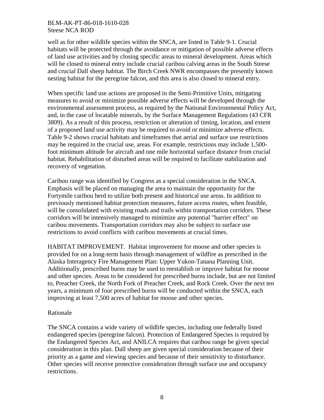well as for other wildlife species within the SNCA, are listed in Table 9-1. Crucial habitats will be protected through the avoidance or mitigation of possible adverse effects of land use activities and by closing specific areas to mineral development. Areas which will be closed to mineral entry include crucial caribou calving areas in the South Steese and crucial Dall sheep habitat. The Birch Creek NWR encompasses the presently known nesting habitat for the peregrine falcon, and this area is also closed to mineral entry.

When specific land use actions are proposed in the Semi-Primitive Units, mitigating measures to avoid or minimize possible adverse effects will be developed through the environmental assessment process, as required by the National Environmental Policy Act, and, in the case of locatable minerals, by the Surface Management Regulations (43 CFR 3809). As a result of this process, restriction or alteration of timing, location, and extent of a proposed land use activity may be required to avoid or minimize adverse effects. Table 9-2 shows crucial habitats and timeframes that aerial and surface use restrictions may be required in the crucial use, areas. For example, restrictions may include 1,500 foot minimum altitude for aircraft and one mile horizontal surface distance from crucial habitat. Rehabilitation of disturbed areas will be required to facilitate stabilization and recovery of vegetation.

Caribou range was identified by Congress as a special consideration in the SNCA. Emphasis will be placed on managing the area to maintain the opportunity for the Fortymile caribou herd to utilize both present and historical use areas. In addition to previously mentioned habitat protection measures, future access routes, when feasible, will be consolidated with existing roads and trails within transportation corridors. These corridors will be intensively managed to minimize any potential "barrier effect" on caribou movements. Transportation corridors may also be subject to surface use restrictions to avoid conflicts with caribou movements at crucial times.

HABITAT IMPROVEMENT. Habitat improvement for moose and other species is provided for on a long-term basis through management of wildfire as prescribed in the Alaska Interagency Fire Management Plan: Upper Yukon-Tanana Planning Unit. Additionally, prescribed burns may be used to reestablish or improve habitat for moose and other species. Areas to be considered for prescribed burns include, but are not limited to, Preacher Creek, the North Fork of Preacher Creek, and Rock Creek. Over the next ten years, a minimum of four prescribed burns will be conducted within the SNCA, each improving at least 7,500 acres of habitat for moose and other species.

## Rationale

The SNCA contains a wide variety of wildlife species, including one federally listed endangered species (peregrine falcon). Protection of Endangered Species is required by the Endangered Species Act, and ANILCA requires that caribou range be given special consideration in this plan. Dall sheep are given special consideration because of their priority as a game and viewing species and because of their sensitivity to disturbance. Other species will receive protective consideration through surface use and occupancy restrictions.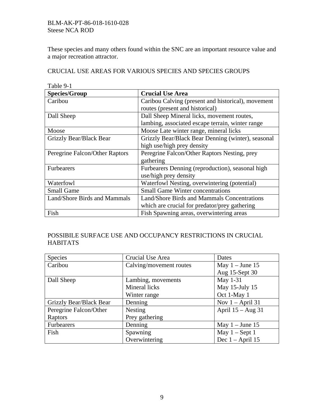These species and many others found within the SNC are an important resource value and a major recreation attractor.

CRUCIAL USE AREAS FOR VARIOUS SPECIES AND SPECIES GROUPS

| Table 9-1                      |                                                    |
|--------------------------------|----------------------------------------------------|
| <b>Species/Group</b>           | <b>Crucial Use Area</b>                            |
| Caribou                        | Caribou Calving (present and historical), movement |
|                                | routes (present and historical)                    |
| Dall Sheep                     | Dall Sheep Mineral licks, movement routes,         |
|                                | lambing, associated escape terrain, winter range   |
| Moose                          | Moose Late winter range, mineral licks             |
| Grizzly Bear/Black Bear        | Grizzly Bear/Black Bear Denning (winter), seasonal |
|                                | high use/high prey density                         |
| Peregrine Falcon/Other Raptors | Peregrine Falcon/Other Raptors Nesting, prey       |
|                                | gathering                                          |
| <b>Furbearers</b>              | Furbearers Denning (reproduction), seasonal high   |
|                                | use/high prey density                              |
| Waterfowl                      | Waterfowl Nesting, overwintering (potential)       |
| <b>Small Game</b>              | <b>Small Game Winter concentrations</b>            |
| Land/Shore Birds and Mammals   | Land/Shore Birds and Mammals Concentrations        |
|                                | which are crucial for predator/prey gathering      |
| Fish                           | Fish Spawning areas, overwintering areas           |

# POSSIBILE SURFACE USE AND OCCUPANCY RESTRICTIONS IN CRUCIAL HABITATS

| Species                 | Crucial Use Area        | Dates               |
|-------------------------|-------------------------|---------------------|
| Caribou                 | Calving/movement routes | May $1 -$ June 15   |
|                         |                         | Aug 15-Sept 30      |
| Dall Sheep              | Lambing, movements      | May 1-31            |
|                         | Mineral licks           | May 15-July 15      |
|                         | Winter range            | Oct 1-May 1         |
| Grizzly Bear/Black Bear | Denning                 | Nov $1 -$ April 31  |
| Peregrine Falcon/Other  | Nesting                 | April $15 - Aug 31$ |
| Raptors                 | Prey gathering          |                     |
| <b>Furbearers</b>       | Denning                 | May $1 -$ June 15   |
| Fish                    | Spawning                | May $1 -$ Sept 1    |
|                         | Overwintering           | Dec $1 -$ April 15  |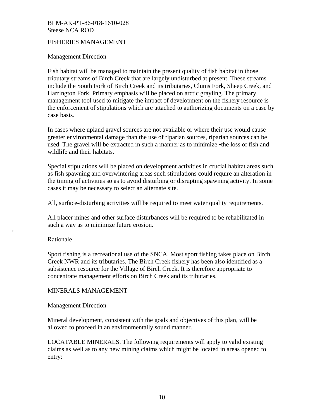## FISHERIES MANAGEMENT

#### Management Direction

Fish habitat will be managed to maintain the present quality of fish habitat in those tributary streams of Birch Creek that are largely undisturbed at present. These streams include the South Fork of Birch Creek and its tributaries, Clums Fork, Sheep Creek, and Harrington Fork. Primary emphasis will be placed on arctic grayling. The primary management tool used to mitigate the impact of development on the fishery resource is the enforcement of stipulations which are attached to authorizing documents on a case by case basis.

In cases where upland gravel sources are not available or where their use would cause greater environmental damage than the use of riparian sources, riparian sources can be used. The gravel will be extracted in such a manner as to minimize •the loss of fish and wildlife and their habitats.

Special stipulations will be placed on development activities in crucial habitat areas such as fish spawning and overwintering areas such stipulations could require an alteration in the timing of activities so as to avoid disturbing or disrupting spawning activity. In some cases it may be necessary to select an alternate site.

All, surface-disturbing activities will be required to meet water quality requirements.

All placer mines and other surface disturbances will be required to be rehabilitated in such a way as to minimize future erosion.

#### Rationale

I'

Sport fishing is a recreational use of the SNCA. Most sport fishing takes place on Birch Creek NWR and its tributaries. The Birch Creek fishery has been also identified as a subsistence resource for the Village of Birch Creek. It is therefore appropriate to concentrate management efforts on Birch Creek and its tributaries.

## MINERALS MANAGEMENT

#### Management Direction

Mineral development, consistent with the goals and objectives of this plan, will be allowed to proceed in an environmentally sound manner.

LOCATABLE MINERALS. The following requirements will apply to valid existing claims as well as to any new mining claims which might be located in areas opened to entry: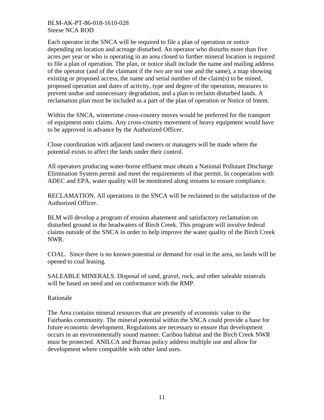Each operator in the SNCA will be required to file a plan of operation or notice depending on location and acreage disturbed. An operator who disturbs more than five acres per year or who is operating in an area closed to further mineral location is required to file a plan of operation. The plan, or notice shall include the name and mailing address of the operator (and of the claimant if the two are not one and the same), a map showing existing or proposed access, the name and serial number of the claim(s) to be mined, proposed operation and dates of activity, type and degree of the operation, measures to prevent undue and unnecessary degradation, and a plan to reclaim disturbed lands. A reclamation plan must be included as a part of the plan of operation or Notice of Intent.

Within the SNCA, wintertime cross-country moves would be preferred for the transport of equipment onto claims. Any cross-country movement of heavy equipment would have to be approved in advance by the Authorized Officer.

Close coordination with adjacent land owners or managers will be made where the potential exists to affect the lands under their control.

All operators producing water-borne effluent must obtain a National Pollutant Discharge Elimination System permit and meet the requirements of that permit. In cooperation with ADEC and EPA, water quality will be monitored along streams to ensure compliance.

RECLAMATION. All operations in the SNCA will be reclaimed to the satisfaction of the Authorized Officer.

BLM will develop a program of erosion abatement and satisfactory reclamation on disturbed ground in the headwaters of Birch Creek. This program will involve federal claims outside of the SNCA in order to help improve the water quality of the Birch Creek NWR.

COAL. Since there is no known potential or demand for coal in the area, no lands will be opened to coal leasing.

SALEABLE MINERALS. Disposal of sand, gravel, rock, and other saleable minerals will be based on need and on conformance with the RMP.

Rationale

The Area contains mineral resources that are presently of economic value to the Fairbanks community. The mineral potential within the SNCA could provide a base for future economic development. Regulations are necessary to ensure that development occurs in an environmentally sound manner. Caribou habitat and the Birch Creek NWR must be protected. ANILCA and Bureau policy address multiple use and allow for development where compatible with other land uses.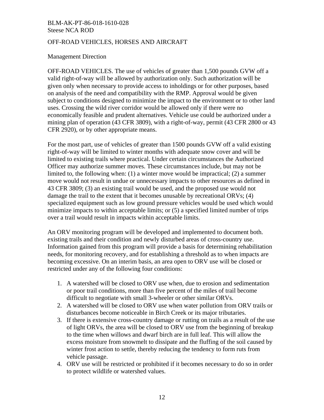#### OFF-ROAD VEHICLES, HORSES AND AIRCRAFT

#### Management Direction

OFF-ROAD VEHICLES. The use of vehicles of greater than 1,500 pounds GVW off a valid right-of-way will be allowed by authorization only. Such authorization will be given only when necessary to provide access to inholdings or for other purposes, based on analysis of the need and compatibility with the RMP. Approval would be given subject to conditions designed to minimize the impact to the environment or to other land uses. Crossing the wild river corridor would be allowed only if there were no economically feasible and prudent alternatives. Vehicle use could be authorized under a mining plan of operation (43 CFR 3809), with a right-of-way, permit (43 CFR 2800 or 43 CFR 2920), or by other appropriate means.

For the most part, use of vehicles of greater than 1500 pounds GVW off a valid existing right-of-way will be limited to winter months with adequate snow cover and will be limited to existing trails where practical. Under certain circumstances the Authorized Officer may authorize summer moves. These circumstances include, but may not be limited to, the following when: (1) a winter move would be impractical; (2) a summer move would not result in undue or unnecessary impacts to other resources as defined in 43 CFR 3809; (3) an existing trail would be used, and the proposed use would not damage the trail to the extent that it becomes unusable by recreational ORVs; (4) specialized equipment such as low ground pressure vehicles would be used which would minimize impacts to within acceptable limits; or (5) a specified limited number of trips over a trail would result in impacts within acceptable limits.

An ORV monitoring program will be developed and implemented to document both. existing trails and their condition and newly disturbed areas of cross-country use. Information gained from this program will provide a basis for determining rehabilitation needs, for monitoring recovery, and for establishing a threshold as to when impacts are becoming excessive. On an interim basis, an area open to ORV use will be closed or restricted under any of the following four conditions:

- 1. A watershed will be closed to ORV use when, due to erosion and sedimentation or poor trail conditions, more than five percent of the miles of trail become difficult to negotiate with small 3-wheeler or other similar ORVs.
- 2. A watershed will be closed to ORV use when water pollution from ORV trails or disturbances become noticeable in Birch Creek or its major tributaries.
- 3. If there is extensive cross-country damage or rutting on trails as a result of the use of light ORVs, the area will be closed to ORV use from the beginning of breakup to the time when willows and dwarf birch are in full leaf. This will allow the excess moisture from snowmelt to dissipate and the fluffing of the soil caused by winter frost action to settle, thereby reducing the tendency to form ruts from vehicle passage.
- 4. ORV use will be restricted or prohibited if it becomes necessary to do so in order to protect wildlife or watershed values.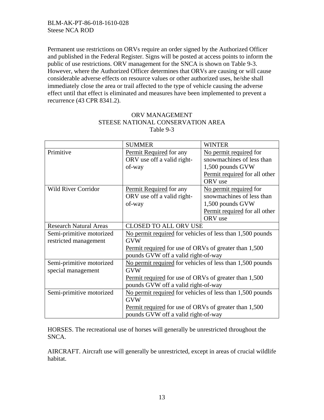Permanent use restrictions on ORVs require an order signed by the Authorized Officer and published in the Federal Register. Signs will be posted at access points to inform the public of use restrictions. ORV management for the SNCA is shown on Table 9-3. However, where the Authorized Officer determines that ORVs are causing or will cause considerable adverse effects on resource values or other authorized uses, he/she shall immediately close the area or trail affected to the type of vehicle causing the adverse effect until that effect is eliminated and measures have been implemented to prevent a recurrence (43 CPR 8341.2).

|                               | <b>SUMMER</b>                                                                                | <b>WINTER</b>                 |  |
|-------------------------------|----------------------------------------------------------------------------------------------|-------------------------------|--|
| Primitive                     | Permit Required for any                                                                      | No permit required for        |  |
|                               | ORV use off a valid right-                                                                   | snowmachines of less than     |  |
|                               | of-way                                                                                       | 1,500 pounds GVW              |  |
|                               |                                                                                              | Permit required for all other |  |
|                               |                                                                                              | ORV use                       |  |
| <b>Wild River Corridor</b>    | Permit Required for any                                                                      | No permit required for        |  |
|                               | ORV use off a valid right-                                                                   | snowmachines of less than     |  |
|                               | of-way                                                                                       | 1,500 pounds GVW              |  |
|                               |                                                                                              | Permit required for all other |  |
|                               |                                                                                              | ORV use                       |  |
| <b>Research Natural Areas</b> | <b>CLOSED TO ALL ORV USE</b>                                                                 |                               |  |
| Semi-primitive motorized      | No permit required for vehicles of less than 1,500 pounds                                    |                               |  |
| restricted management         | <b>GVW</b>                                                                                   |                               |  |
|                               | Permit required for use of ORVs of greater than 1,500                                        |                               |  |
|                               | pounds GVW off a valid right-of-way                                                          |                               |  |
| Semi-primitive motorized      | No permit required for vehicles of less than 1,500 pounds                                    |                               |  |
| special management            | <b>GVW</b>                                                                                   |                               |  |
|                               | Permit required for use of ORVs of greater than 1,500<br>pounds GVW off a valid right-of-way |                               |  |
|                               |                                                                                              |                               |  |
| Semi-primitive motorized      | No permit required for vehicles of less than 1,500 pounds                                    |                               |  |
|                               | <b>GVW</b>                                                                                   |                               |  |
|                               | Permit required for use of ORVs of greater than 1,500                                        |                               |  |
|                               | pounds GVW off a valid right-of-way                                                          |                               |  |

## ORV MANAGEMENT STEESE NATIONAL CONSERVATION AREA Table 9-3

HORSES. The recreational use of horses will generally be unrestricted throughout the SNCA.

AIRCRAFT. Aircraft use will generally be unrestricted, except in areas of crucial wildlife habitat.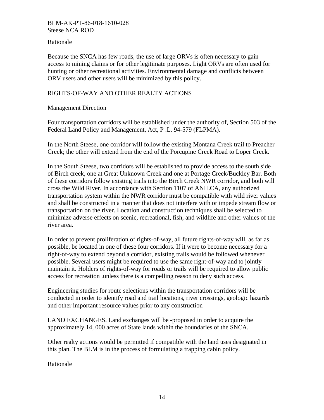## Rationale

Because the SNCA has few roads, the use of large ORVs is often necessary to gain access to mining claims or for other legitimate purposes. Light ORVs are often used for hunting or other recreational activities. Environmental damage and conflicts between ORV users and other users will be minimized by this policy.

## RIGHTS-OF-WAY AND OTHER REALTY ACTIONS

## Management Direction

Four transportation corridors will be established under the authority of, Section 503 of the Federal Land Policy and Management, Act, P .L. 94-579 (FLPMA).

In the North Steese, one corridor will follow the existing Montana Creek trail to Preacher Creek; the other will extend from the end of the Porcupine Creek Road to Loper Creek.

In the South Steese, two corridors will be established to provide access to the south side of Birch creek, one at Great Unknown Creek and one at Portage Creek/Buckley Bar. Both of these corridors follow existing trails into the Birch Creek NWR corridor, and both will cross the Wild River. In accordance with Section 1107 of ANILCA, any authorized transportation system within the NWR corridor must be compatible with wild river values and shall be constructed in a manner that does not interfere with or impede stream flow or transportation on the river. Location and construction techniques shall be selected to minimize adverse effects on scenic, recreational, fish, and wildlife and other values of the river area.

In order to prevent proliferation of rights-of-way, all future rights-of-way will, as far as possible, be located in one of these four corridors. If it were to become necessary for a right-of-way to extend beyond a corridor, existing trails would be followed whenever possible. Several users might be required to use the same right-of-way and to jointly maintain it. Holders of rights-of-way for roads or trails will be required to allow public access for recreation .unless there is a compelling reason to deny such access.

Engineering studies for route selections within the transportation corridors will be conducted in order to identify road and trail locations, river crossings, geologic hazards and other important resource values prior to any construction

LAND EXCHANGES. Land exchanges will be -proposed in order to acquire the approximately 14, 000 acres of State lands within the boundaries of the SNCA.

Other realty actions would be permitted if compatible with the land uses designated in this plan. The BLM is in the process of formulating a trapping cabin policy.

Rationale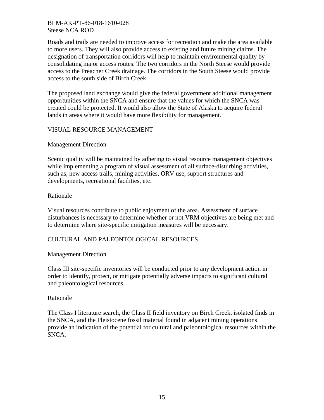Roads and trails are needed to improve access for recreation and make the area available to more users. They will also provide access to existing and future mining claims. The designation of transportation corridors will help to maintain environmental quality by consolidating major access routes. The two corridors in the North Steese would provide access to the Preacher Creek drainage. The corridors in the South Steese would provide access to the south side of Birch Creek.

The proposed land exchange would give the federal government additional management opportunities within the SNCA and ensure that the values for which the SNCA was created could be protected. It would also allow the State of Alaska to acquire federal lands in areas where it would have more flexibility for management.

## VISUAL RESOURCE MANAGEMENT

## Management Direction

Scenic quality will be maintained by adhering to visual resource management objectives while implementing a program of visual assessment of all surface-disturbing activities, such as, new access trails, mining activities, ORV use, support structures and developments, recreational facilities, etc.

## Rationale

Visual resources contribute to public enjoyment of the area. Assessment of surface disturbances is necessary to determine whether or not VRM objectives are being met and to determine where site-specific mitigation measures will be necessary.

## CULTURAL AND PALEONTOLOGICAL RESOURCES

## Management Direction

Class III site-specific inventories will be conducted prior to any development action in order to identify, protect, or mitigate potentially adverse impacts to significant cultural and paleontological resources.

#### Rationale

The Class I literature search, the Class II field inventory on Birch Creek, isolated finds in the SNCA, and the Pleistocene fossil material found in adjacent mining operations provide an indication of the potential for cultural and paleontological resources within the SNCA.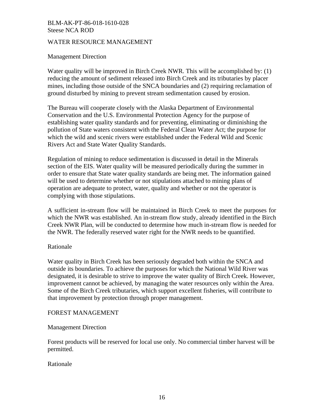### WATER RESOURCE MANAGEMENT

#### Management Direction

Water quality will be improved in Birch Creek NWR. This will be accomplished by: (1) reducing the amount of sediment released into Birch Creek and its tributaries by placer mines, including those outside of the SNCA boundaries and (2) requiring reclamation of ground disturbed by mining to prevent stream sedimentation caused by erosion.

The Bureau will cooperate closely with the Alaska Department of Environmental Conservation and the U.S. Environmental Protection Agency for the purpose of establishing water quality standards and for preventing, eliminating or diminishing the pollution of State waters consistent with the Federal Clean Water Act; the purpose for which the wild and scenic rivers were established under the Federal Wild and Scenic Rivers Act and State Water Quality Standards.

Regulation of mining to reduce sedimentation is discussed in detail in the Minerals section of the EIS. Water quality will be measured periodically during the summer in order to ensure that State water quality standards are being met. The information gained will be used to determine whether or not stipulations attached to mining plans of operation are adequate to protect, water, quality and whether or not the operator is complying with those stipulations.

A sufficient in-stream flow will be maintained in Birch Creek to meet the purposes for which the NWR was established. An in-stream flow study, already identified in the Birch Creek NWR Plan, will be conducted to determine how much in-stream flow is needed for the NWR. The federally reserved water right for the NWR needs to be quantified.

#### Rationale

Water quality in Birch Creek has been seriously degraded both within the SNCA and outside its boundaries. To achieve the purposes for which the National Wild River was designated, it is desirable to strive to improve the water quality of Birch Creek. However, improvement cannot be achieved, by managing the water resources only within the Area. Some of the Birch Creek tributaries, which support excellent fisheries, will contribute to that improvement by protection through proper management.

#### FOREST MANAGEMENT

#### Management Direction

Forest products will be reserved for local use only. No commercial timber harvest will be permitted.

## Rationale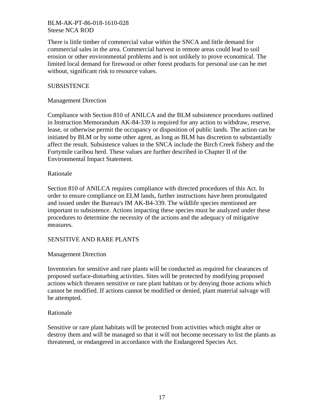There is little timber of commercial value within the SNCA and little demand for commercial sales in the area. Commercial harvest in remote areas could lead to soil erosion or other environmental problems and is not unlikely to prove economical. The limited local demand for firewood or other forest products for personal use can be met without, significant risk to resource values.

## **SUBSISTENCE**

## Management Direction

Compliance with Section 810 of ANILCA and the BLM subsistence procedures outlined in Instruction Memorandum AK-84-339 is required for any action to withdraw, reserve, lease, or otherwise permit the occupancy or disposition of public lands. The action can be initiated by BLM or by some other agent, as long as BLM has discretion to substantially affect the result. Subsistence values in the SNCA include the Birch Creek fishery and the Fortymile caribou herd. These values are further described in Chapter II of the Environmental Impact Statement.

## Rationale

Section 810 of ANILCA requires compliance with directed procedures of this Act. In order to ensure compliance on ELM lands, further instructions have been promulgated and issued under the Bureau's IM AK-B4-339. The wildlife species mentioned are important to subsistence. Actions impacting these species must be analyzed under these procedures to determine the necessity of the actions and the adequacy of mitigative measures.

## SENSITIVE AND RARE PLANTS

## Management Direction

Inventories for sensitive and rare plants will be conducted as required for clearances of proposed surface-disturbing activities. Sites will be protected by modifying proposed actions which threaten sensitive or rare plant habitats or by denying those actions which cannot be modified. If actions cannot be modified or denied, plant material salvage will be attempted.

## Rationale

Sensitive or rare plant habitats will be protected from activities which might alter or destroy them and will be managed so that it will not become necessary to list the plants as threatened, or endangered in accordance with the Endangered Species Act.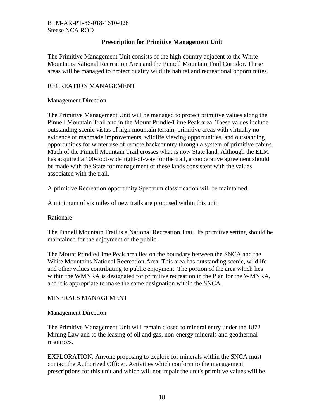## **Prescription for Primitive Management Unit**

The Primitive Management Unit consists of the high country adjacent to the White Mountains National Recreation Area and the Pinnell Mountain Trail Corridor. These areas will be managed to protect quality wildlife habitat and recreational opportunities.

## RECREATION MANAGEMENT

Management Direction

The Primitive Management Unit will be managed to protect primitive values along the Pinnell Mountain Trail and in the Mount Prindle/Lime Peak area. These values include outstanding scenic vistas of high mountain terrain, primitive areas with virtually no evidence of manmade improvements, wildlife viewing opportunities, and outstanding opportunities for winter use of remote backcountry through a system of primitive cabins. Much of the Pinnell Mountain Trail crosses what is now State land. Although the ELM has acquired a 100-foot-wide right-of-way for the trail, a cooperative agreement should be made with the State for management of these lands consistent with the values associated with the trail.

A primitive Recreation opportunity Spectrum classification will be maintained.

A minimum of six miles of new trails are proposed within this unit.

Rationale

The Pinnell Mountain Trail is a National Recreation Trail. Its primitive setting should be maintained for the enjoyment of the public.

The Mount Prindle/Lime Peak area lies on the boundary between the SNCA and the White Mountains National Recreation Area. This area has outstanding scenic, wildlife and other values contributing to public enjoyment. The portion of the area which lies within the WMNRA is designated for primitive recreation in the Plan for the WMNRA, and it is appropriate to make the same designation within the SNCA.

## MINERALS MANAGEMENT

Management Direction

The Primitive Management Unit will remain closed to mineral entry under the 1872 Mining Law and to the leasing of oil and gas, non-energy minerals and geothermal resources.

EXPLORATION. Anyone proposing to explore for minerals within the SNCA must contact the Authorized Officer. Activities which conform to the management prescriptions for this unit and which will not impair the unit's primitive values will be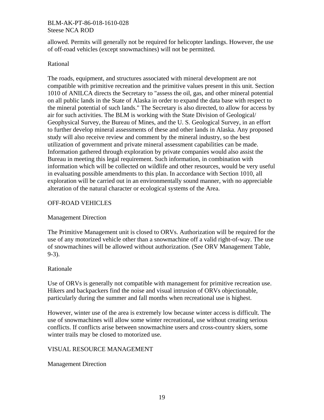allowed. Permits will generally not be required for helicopter landings. However, the use of off-road vehicles (except snowmachines) will not be permitted.

## Rational

The roads, equipment, and structures associated with mineral development are not compatible with primitive recreation and the primitive values present in this unit. Section 1010 of ANILCA directs the Secretary to "assess the oil, gas, and other mineral potential on all public lands in the State of Alaska in order to expand the data base with respect to the mineral potential of such lands." The Secretary is also directed, to allow for access by air for such activities. The BLM is working with the State Division of Geological/ Geophysical Survey, the Bureau of Mines, and the U. S. Geological Survey, in an effort to further develop mineral assessments of these and other lands in Alaska. Any proposed study will also receive review and comment by the mineral industry, so the best utilization of government and private mineral assessment capabilities can be made. Information gathered through exploration by private companies would also assist the Bureau in meeting this legal requirement. Such information, in combination with information which will be collected on wildlife and other resources, would be very useful in evaluating possible amendments to this plan. In accordance with Section 1010, all exploration will be carried out in an environmentally sound manner, with no appreciable alteration of the natural character or ecological systems of the Area.

## OFF-ROAD VEHICLES

## Management Direction

The Primitive Management unit is closed to ORVs. Authorization will be required for the use of any motorized vehicle other than a snowmachine off a valid right-of-way. The use of snowmachines will be allowed without authorization. (See ORV Management Table, 9-3).

## Rationale

Use of ORVs is generally not compatible with management for primitive recreation use. Hikers and backpackers find the noise and visual intrusion of ORVs objectionable, particularly during the summer and fall months when recreational use is highest.

However, winter use of the area is extremely low because winter access is difficult. The use of snowmachines will allow some winter recreational, use without creating serious conflicts. If conflicts arise between snowmachine users and cross-country skiers, some winter trails may be closed to motorized use.

## VISUAL RESOURCE MANAGEMENT

## Management Direction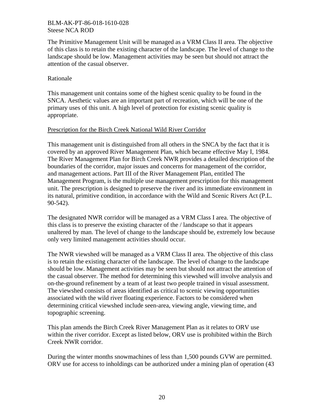The Primitive Management Unit will be managed as a VRM Class II area. The objective of this class is to retain the existing character of the landscape. The level of change to the landscape should be low. Management activities may be seen but should not attract the attention of the casual observer.

## Rationale

This management unit contains some of the highest scenic quality to be found in the SNCA. Aesthetic values are an important part of recreation, which will be one of the primary uses of this unit. A high level of protection for existing scenic quality is appropriate.

## Prescription for the Birch Creek National Wild River Corridor

This management unit is distinguished from all others in the SNCA by the fact that it is covered by an approved River Management Plan, which became effective May I, 1984. The River Management Plan for Birch Creek NWR provides a detailed description of the boundaries of the corridor, major issues and concerns for management of the corridor, and management actions. Part III of the River Management Plan, entitled The Management Program, is the multiple use management prescription for this management unit. The prescription is designed to preserve the river and its immediate environment in its natural, primitive condition, in accordance with the Wild and Scenic Rivers Act (P.L. 90-542).

The designated NWR corridor will be managed as a VRM Class I area. The objective of this class is to preserve the existing character of the / landscape so that it appears unaltered by man. The level of change to the landscape should be, extremely low because only very limited management activities should occur.

The NWR viewshed will be managed as a VRM Class II area. The objective of this class is to retain the existing character of the landscape. The level of change to the landscape should be low. Management activities may be seen but should not attract the attention of the casual observer. The method for determining this viewshed will involve analysis and on-the-ground refinement by a team of at least two people trained in visual assessment. The viewshed consists of areas identified as critical to scenic viewing opportunities associated with the wild river floating experience. Factors to be considered when determining critical viewshed include seen-area, viewing angle, viewing time, and topographic screening.

This plan amends the Birch Creek River Management Plan as it relates to ORV use within the river corridor. Except as listed below, ORV use is prohibited within the Birch Creek NWR corridor.

During the winter months snowmachines of less than 1,500 pounds GVW are permitted. ORV use for access to inholdings can be authorized under a mining plan of operation (43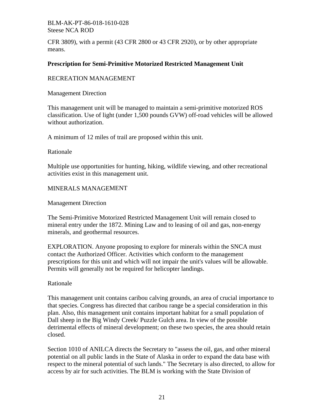CFR 3809), with a permit (43 CFR 2800 or 43 CFR 2920), or by other appropriate means.

## **Prescription for Semi-Primitive Motorized Restricted Management Unit**

## RECREATION MANAGEMENT

Management Direction

This management unit will be managed to maintain a semi-primitive motorized ROS classification. Use of light (under 1,500 pounds GVW) off-road vehicles will be allowed without authorization.

A minimum of 12 miles of trail are proposed within this unit.

Rationale

Multiple use opportunities for hunting, hiking, wildlife viewing, and other recreational activities exist in this management unit.

## MINERALS MANAGEMENT

Management Direction

The Semi-Primitive Motorized Restricted Management Unit will remain closed to mineral entry under the 1872. Mining Law and to leasing of oil and gas, non-energy minerals, and geothermal resources.

EXPLORATION. Anyone proposing to explore for minerals within the SNCA must contact the Authorized Officer. Activities which conform to the management prescriptions for this unit and which will not impair the unit's values will be allowable. Permits will generally not be required for helicopter landings.

## Rationale

This management unit contains caribou calving grounds, an area of crucial importance to that species. Congress has directed that caribou range be a special consideration in this plan. Also, this management unit contains important habitat for a small population of Dall sheep in the Big Windy Creek/ Puzzle Gulch area. In view of the possible detrimental effects of mineral development; on these two species, the area should retain closed.

Section 1010 of ANILCA directs the Secretary to "assess the oil, gas, and other mineral potential on all public lands in the State of Alaska in order to expand the data base with respect to the mineral potential of such lands." The Secretary is also directed, to allow for access by air for such activities. The BLM is working with the State Division of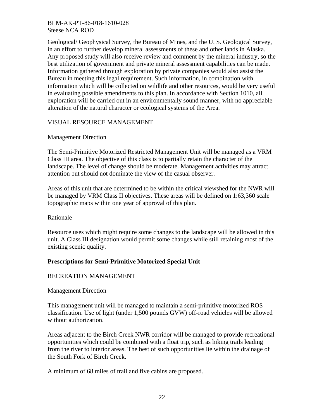Geological/ Geophysical Survey, the Bureau of Mines, and the U. S. Geological Survey, in an effort to further develop mineral assessments of these and other lands in Alaska. Any proposed study will also receive review and comment by the mineral industry, so the best utilization of government and private mineral assessment capabilities can be made. Information gathered through exploration by private companies would also assist the Bureau in meeting this legal requirement. Such information, in combination with information which will be collected on wildlife and other resources, would be very useful in evaluating possible amendments to this plan. In accordance with Section 1010, all exploration will be carried out in an environmentally sound manner, with no appreciable alteration of the natural character or ecological systems of the Area.

## VISUAL RESOURCE MANAGEMENT

## Management Direction

The Semi-Primitive Motorized Restricted Management Unit will be managed as a VRM Class III area. The objective of this class is to partially retain the character of the landscape. The level of change should be moderate. Management activities may attract attention but should not dominate the view of the casual observer.

Areas of this unit that are determined to be within the critical viewshed for the NWR will be managed by VRM Class II objectives. These areas will be defined on 1:63,360 scale topographic maps within one year of approval of this plan.

## Rationale

Resource uses which might require some changes to the landscape will be allowed in this unit. A Class III designation would permit some changes while still retaining most of the existing scenic quality.

## **Prescriptions for Semi-Primitive Motorized Special Unit**

## RECREATION MANAGEMENT

Management Direction

This management unit will be managed to maintain a semi-primitive motorized ROS classification. Use of light (under 1,500 pounds GVW) off-road vehicles will be allowed without authorization.

Areas adjacent to the Birch Creek NWR corridor will be managed to provide recreational opportunities which could be combined with a float trip, such as hiking trails leading from the river to interior areas. The best of such opportunities lie within the drainage of the South Fork of Birch Creek.

A minimum of 68 miles of trail and five cabins are proposed.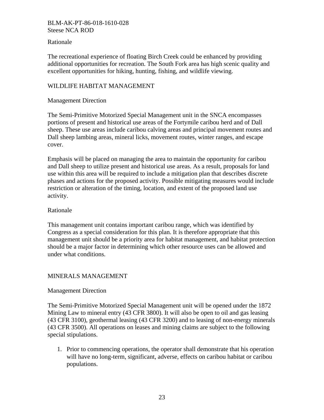## Rationale

The recreational experience of floating Birch Creek could be enhanced by providing additional opportunities for recreation. The South Fork area has high scenic quality and excellent opportunities for hiking, hunting, fishing, and wildlife viewing.

## WILDLIFE HABITAT MANAGEMENT

## Management Direction

The Semi-Primitive Motorized Special Management unit in the SNCA encompasses portions of present and historical use areas of the Fortymile caribou herd and of Dall sheep. These use areas include caribou calving areas and principal movement routes and Dall sheep lambing areas, mineral licks, movement routes, winter ranges, and escape cover.

Emphasis will be placed on managing the area to maintain the opportunity for caribou and Dall sheep to utilize present and historical use areas. As a result, proposals for land use within this area will be required to include a mitigation plan that describes discrete phases and actions for the proposed activity. Possible mitigating measures would include restriction or alteration of the timing, location, and extent of the proposed land use activity.

## Rationale

This management unit contains important caribou range, which was identified by Congress as a special consideration for this plan. It is therefore appropriate that this management unit should be a priority area for habitat management, and habitat protection should be a major factor in determining which other resource uses can be allowed and under what conditions.

## MINERALS MANAGEMENT

## Management Direction

The Semi-Primitive Motorized Special Management unit will be opened under the 1872 Mining Law to mineral entry (43 CFR 3800). It will also be open to oil and gas leasing (43 CFR 3100), geothermal leasing (43 CFR 3200) and to leasing of non-energy minerals (43 CFR 3500). All operations on leases and mining claims are subject to the following special stipulations.

1. Prior to commencing operations, the operator shall demonstrate that his operation will have no long-term, significant, adverse, effects on caribou habitat or caribou populations.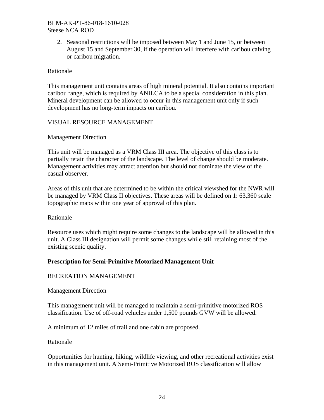2. Seasonal restrictions will be imposed between May 1 and June 15, or between August 15 and September 30, if the operation will interfere with caribou calving or caribou migration.

## Rationale

This management unit contains areas of high mineral potential. It also contains important caribou range, which is required by ANILCA to be a special consideration in this plan. Mineral development can be allowed to occur in this management unit only if such development has no long-term impacts on caribou.

## VISUAL RESOURCE MANAGEMENT

## Management Direction

This unit will be managed as a VRM Class III area. The objective of this class is to partially retain the character of the landscape. The level of change should be moderate. Management activities may attract attention but should not dominate the view of the casual observer.

Areas of this unit that are determined to be within the critical viewshed for the NWR will be managed by VRM Class II objectives. These areas will be defined on 1: 63,360 scale topographic maps within one year of approval of this plan.

## Rationale

Resource uses which might require some changes to the landscape will be allowed in this unit. A Class III designation will permit some changes while still retaining most of the existing scenic quality.

## **Prescription for Semi-Primitive Motorized Management Unit**

## RECREATION MANAGEMENT

Management Direction

This management unit will be managed to maintain a semi-primitive motorized ROS classification. Use of off-road vehicles under 1,500 pounds GVW will be allowed.

A minimum of 12 miles of trail and one cabin are proposed.

## Rationale

Opportunities for hunting, hiking, wildlife viewing, and other recreational activities exist in this management unit. A Semi-Primitive Motorized ROS classification will allow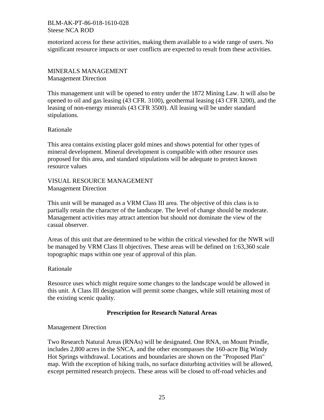motorized access for these activities, making them available to a wide range of users. No significant resource impacts or user conflicts are expected to result from these activities.

MINERALS MANAGEMENT Management Direction

This management unit will be opened to entry under the 1872 Mining Law. It will also be opened to oil and gas leasing (43 CFR. 3100), geothermal leasing (43 CFR 3200), and the leasing of non-energy minerals (43 CFR 3500). All leasing will be under standard stipulations.

Rationale

This area contains existing placer gold mines and shows potential for other types of mineral development. Mineral development is compatible with other resource uses proposed for this area, and standard stipulations will be adequate to protect known resource values

VISUAL RESOURCE MANAGEMENT Management Direction

This unit will be managed as a VRM Class III area. The objective of this class is to partially retain the character of the landscape. The level of change should be moderate. Management activities may attract attention but should not dominate the view of the casual observer.

Areas of this unit that are determined to be within the critical viewshed for the NWR will be managed by VRM Class II objectives. These areas will be defined on 1:63,360 scale topographic maps within one year of approval of this plan.

Rationale

Resource uses which might require some changes to the landscape would be allowed in this unit. A Class III designation will permit some changes, while still retaining most of the existing scenic quality.

## **Prescription for Research Natural Areas**

Management Direction

Two Research Natural Areas (RNAs) will be designated. One RNA, on Mount Prindle, includes 2,800 acres in the SNCA, and the other encompasses the 160-acre Big Windy Hot Springs withdrawal. Locations and boundaries are shown on the "Proposed Plan" map. With the exception of hiking trails, no surface disturbing activities will be allowed, except permitted research projects. These areas will be closed to off-road vehicles and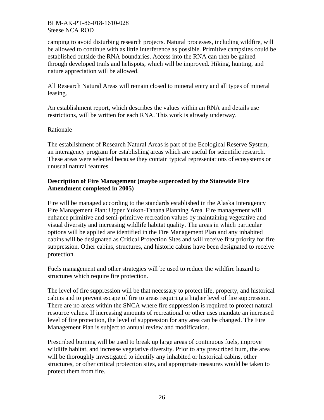camping to avoid disturbing research projects. Natural processes, including wildfire, will be allowed to continue with as little interference as possible. Primitive campsites could be established outside the RNA boundaries. Access into the RNA can then be gained through developed trails and helispots, which will be improved. Hiking, hunting, and nature appreciation will be allowed.

All Research Natural Areas will remain closed to mineral entry and all types of mineral leasing.

An establishment report, which describes the values within an RNA and details use restrictions, will be written for each RNA. This work is already underway.

## Rationale

The establishment of Research Natural Areas is part of the Ecological Reserve System, an interagency program for establishing areas which are useful for scientific research. These areas were selected because they contain typical representations of ecosystems or unusual natural features.

## **Description of Fire Management (maybe superceded by the Statewide Fire Amendment completed in 2005)**

Fire will be managed according to the standards established in the Alaska Interagency Fire Management Plan: Upper Yukon-Tanana Planning Area. Fire management will enhance primitive and semi-primitive recreation values by maintaining vegetative and visual diversity and increasing wildlife habitat quality. The areas in which particular options will be applied are identified in the Fire Management Plan and any inhabited cabins will be designated as Critical Protection Sites and will receive first priority for fire suppression. Other cabins, structures, and historic cabins have been designated to receive protection.

Fuels management and other strategies will be used to reduce the wildfire hazard to structures which require fire protection.

The level of fire suppression will be that necessary to protect life, property, and historical cabins and to prevent escape of fire to areas requiring a higher level of fire suppression. There are no areas within the SNCA where fire suppression is required to protect natural resource values. If increasing amounts of recreational or other uses mandate an increased level of fire protection, the level of suppression for any area can be changed. The Fire Management Plan is subject to annual review and modification.

Prescribed burning will be used to break up large areas of continuous fuels, improve wildlife habitat, and increase vegetative diversity. Prior to any prescribed burn, the area will be thoroughly investigated to identify any inhabited or historical cabins, other structures, or other critical protection sites, and appropriate measures would be taken to protect them from fire.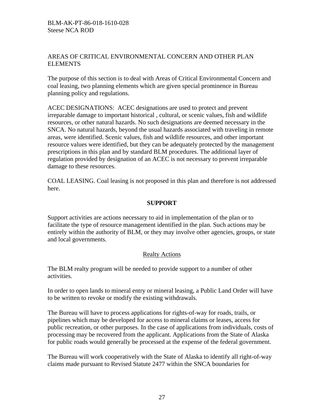## AREAS OF CRITICAL ENVIRONMENTAL CONCERN AND OTHER PLAN **ELEMENTS**

The purpose of this section is to deal with Areas of Critical Environmental Concern and coal leasing, two planning elements which are given special prominence in Bureau planning policy and regulations.

ACEC DESIGNATIONS: ACEC designations are used to protect and prevent irreparable damage to important historical , cultural, or scenic values, fish and wildlife resources, or other natural hazards. No such designations are deemed necessary in the SNCA. No natural hazards, beyond the usual hazards associated with traveling in remote areas, were identified. Scenic values, fish and wildlife resources, and other important resource values were identified, but they can be adequately protected by the management prescriptions in this plan and by standard BLM procedures. The additional layer of regulation provided by designation of an ACEC is not necessary to prevent irreparable damage to these resources.

COAL LEASING. Coal leasing is not proposed in this plan and therefore is not addressed here.

## **SUPPORT**

Support activities are actions necessary to aid in implementation of the plan or to facilitate the type of resource management identified in the plan. Such actions may be entirely within the authority of BLM, or they may involve other agencies, groups, or state and local governments.

## Realty Actions

The BLM realty program will be needed to provide support to a number of other activities.

In order to open lands to mineral entry or mineral leasing, a Public Land Order will have to be written to revoke or modify the existing withdrawals.

The Bureau will have to process applications for rights-of-way for roads, trails, or pipelines which may be developed for access to mineral claims or leases, access for public recreation, or other purposes. In the case of applications from individuals, costs of processing may be recovered from the applicant. Applications from the State of Alaska for public roads would generally be processed at the expense of the federal government.

The Bureau will work cooperatively with the State of Alaska to identify all right-of-way claims made pursuant to Revised Statute 2477 within the SNCA boundaries for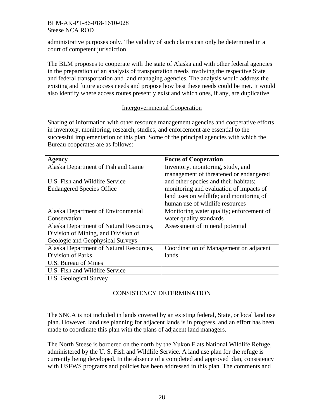administrative purposes only. The validity of such claims can only be determined in a court of competent jurisdiction.

The BLM proposes to cooperate with the state of Alaska and with other federal agencies in the preparation of an analysis of transportation needs involving the respective State and federal transportation and land managing agencies. The analysis would address the existing and future access needs and propose how best these needs could be met. It would also identify where access routes presently exist and which ones, if any, are duplicative.

## Intergovernmental Cooperation

Sharing of information with other resource management agencies and cooperative efforts in inventory, monitoring, research, studies, and enforcement are essential to the successful implementation of this plan. Some of the principal agencies with which the Bureau cooperates are as follows:

| <b>Agency</b>                           | <b>Focus of Cooperation</b>              |
|-----------------------------------------|------------------------------------------|
| Alaska Department of Fish and Game      | Inventory, monitoring, study, and        |
|                                         | management of threatened or endangered   |
| U.S. Fish and Wildlife Service –        | and other species and their habitats;    |
| <b>Endangered Species Office</b>        | monitoring and evaluation of impacts of  |
|                                         | land uses on wildlife; and monitoring of |
|                                         | human use of wildlife resources          |
| Alaska Department of Environmental      | Monitoring water quality; enforcement of |
| Conservation                            | water quality standards                  |
| Alaska Department of Natural Resources, | Assessment of mineral potential          |
| Division of Mining, and Division of     |                                          |
| Geologic and Geophysical Surveys        |                                          |
| Alaska Department of Natural Resources, | Coordination of Management on adjacent   |
| Division of Parks                       | lands                                    |
| U.S. Bureau of Mines                    |                                          |
| U.S. Fish and Wildlife Service          |                                          |
| U.S. Geological Survey                  |                                          |

# CONSISTENCY DETERMINATION

The SNCA is not included in lands covered by an existing federal, State, or local land use plan. However, land use planning for adjacent lands is in progress, and an effort has been made to coordinate this plan with the plans of adjacent land managers.

The North Steese is bordered on the north by the Yukon Flats National Wildlife Refuge, administered by the U. S. Fish and Wildlife Service. A land use plan for the refuge is currently being developed. In the absence of a completed and approved plan, consistency with USFWS programs and policies has been addressed in this plan. The comments and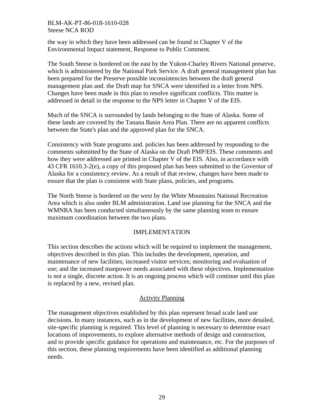the way in which they have been addressed can be found in Chapter V of the Environmental Impact statement, Response to Public Comment.

The South Steese is bordered on the east by the Yukon-Charley Rivers National preserve, which is administered by the National Park Service. A draft general management plan has been prepared for the Preserve possible inconsistencies between the draft general management plan and. the Draft map for SNCA were identified in a letter from NPS. Changes have been made in this plan to resolve significant conflicts. This matter is addressed in detail in the response to the NPS letter in Chapter V of the EIS.

Much of the SNCA is surrounded by lands belonging to the State of Alaska. Some of these lands are covered by the Tanana Basin Area Plan. There are no apparent conflicts between the State's plan and the approved plan for the SNCA.

Consistency with State programs and. policies has been addressed by responding to the comments submitted by the State of Alaska on the Draft PMP/EIS. These comments and how they were addressed are printed in Chapter V of the EIS. Also, in accordance with 43 CFR 1610.3-2(e), a copy of this proposed plan has been submitted to the Governor of Alaska for a consistency review. As a result of that review, changes have been made to ensure that the plan is consistent with State plans, policies, and programs.

The North Steese is bordered on the west by the White Mountains National Recreation Area which is also under BLM administration. Land use planning for the SNCA and the WMNRA has been conducted simultaneously by the same planning team to ensure maximum coordination between the two plans.

## IMPLEMENTATION

This section describes the actions which will be required to implement the management, objectives described in this plan. This includes the development, operation, and maintenance of new facilities; increased visitor services; monitoring and evaluation of use; and the increased manpower needs associated with these objectives. Implementation is not a single, discrete action. It is an ongoing process which will continue until this plan is replaced by a new, revised plan.

## Activity Planning

The management objectives established by this plan represent broad scale land use decisions. In many instances, such as in the development of new facilities, more detailed, site-specific planning is required. This level of planning is necessary to determine exact locations of improvements, to explore alternative methods of design and construction, and to provide specific guidance for operations and maintenance, etc. For the purposes of this section, these planning requirements have been identified as additional planning needs.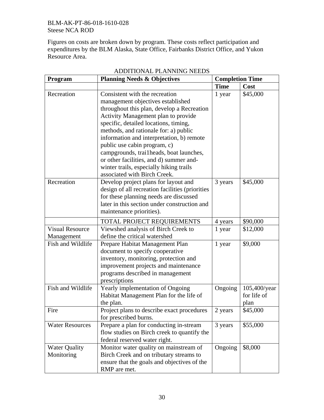Figures on costs are broken down by program. These costs reflect participation and expenditures by the BLM Alaska, State Office, Fairbanks District Office, and Yukon Resource Area.

| <b>Program</b>         | <b>Planning Needs &amp; Objectives</b>           | <b>Completion Time</b> |              |
|------------------------|--------------------------------------------------|------------------------|--------------|
|                        |                                                  | <b>Time</b>            | Cost         |
| Recreation             | Consistent with the recreation                   | 1 year                 | \$45,000     |
|                        | management objectives established                |                        |              |
|                        | throughout this plan, develop a Recreation       |                        |              |
|                        | Activity Management plan to provide              |                        |              |
|                        | specific, detailed locations, timing,            |                        |              |
|                        | methods, and rationale for: a) public            |                        |              |
|                        | information and interpretation, b) remote        |                        |              |
|                        | public use cabin program, c)                     |                        |              |
|                        | campgrounds, trai1heads, boat launches,          |                        |              |
|                        | or other facilities, and d) summer and-          |                        |              |
|                        | winter trails, especially hiking trails          |                        |              |
|                        | associated with Birch Creek.                     |                        |              |
| Recreation             | Develop project plans for layout and             | 3 years                | \$45,000     |
|                        | design of all recreation facilities (priorities) |                        |              |
|                        | for these planning needs are discussed           |                        |              |
|                        | later in this section under construction and     |                        |              |
|                        | maintenance priorities).                         |                        |              |
|                        | TOTAL PROJECT REQUIREMENTS                       | 4 years                | \$90,000     |
| <b>Visual Resource</b> | Viewshed analysis of Birch Creek to              | 1 year                 | \$12,000     |
| Management             | define the critical watershed                    |                        |              |
| Fish and Wildlife      | Prepare Habitat Management Plan                  | 1 year                 | \$9,000      |
|                        | document to specify cooperative                  |                        |              |
|                        | inventory, monitoring, protection and            |                        |              |
|                        | improvement projects and maintenance             |                        |              |
|                        | programs described in management                 |                        |              |
|                        | prescriptions                                    |                        |              |
| Fish and Wildlife      | Yearly implementation of Ongoing                 | Ongoing                | 105,400/year |
|                        | Habitat Management Plan for the life of          |                        | for life of  |
|                        | the plan.                                        |                        | plan         |
| Fire                   | Project plans to describe exact procedures       | 2 years                | \$45,000     |
|                        | for prescribed burns.                            |                        |              |
| <b>Water Resources</b> | Prepare a plan for conducting in-stream          | 3 years                | \$55,000     |
|                        | flow studies on Birch creek to quantify the      |                        |              |
|                        | federal reserved water right.                    |                        |              |
| <b>Water Quality</b>   | Monitor water quality on mainstream of           | Ongoing                | \$8,000      |
| Monitoring             | Birch Creek and on tributary streams to          |                        |              |
|                        | ensure that the goals and objectives of the      |                        |              |
|                        | RMP are met.                                     |                        |              |

# ADDITIONAL PLANNING NEEDS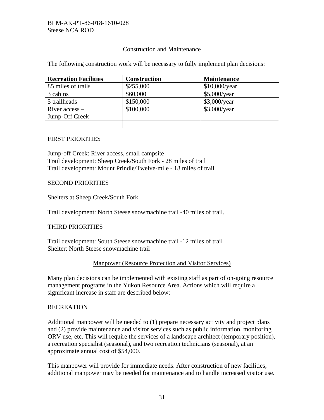## Construction and Maintenance

The following construction work will be necessary to fully implement plan decisions:

| <b>Recreation Facilities</b> | <b>Construction</b> | <b>Maintenance</b> |
|------------------------------|---------------------|--------------------|
| 85 miles of trails           | \$255,000           | $$10,000$ /year    |
| 3 cabins                     | \$60,000            | \$5,000/year       |
| 5 trailheads                 | \$150,000           | $$3,000$ /year     |
| River $access -$             | \$100,000           | $$3,000$ /year     |
| Jump-Off Creek               |                     |                    |
|                              |                     |                    |

#### FIRST PRIORITIES

Jump-off Creek: River access, small campsite Trail development: Sheep Creek/South Fork - 28 miles of trail Trail development: Mount Prindle/Twelve-mile - 18 miles of trail

## SECOND PRIORITIES

Shelters at Sheep Creek/South Fork

Trail development: North Steese snowmachine trail -40 miles of trail.

## THIRD PRIORITIES

Trail development: South Steese snowmachine trail -12 miles of trail Shelter: North Steese snowmachine trail

## Manpower (Resource Protection and Visitor Services)

Many plan decisions can be implemented with existing staff as part of on-going resource management programs in the Yukon Resource Area. Actions which will require a significant increase in staff are described below:

#### **RECREATION**

Additional manpower will be needed to (1) prepare necessary activity and project plans and (2) provide maintenance and visitor services such as public information, monitoring ORV use, etc. This will require the services of a landscape architect (temporary position), a recreation specialist (seasonal), and two recreation technicians (seasonal), at an approximate annual cost of \$54,000.

This manpower will provide for immediate needs. After construction of new facilities, additional manpower may be needed for maintenance and to handle increased visitor use.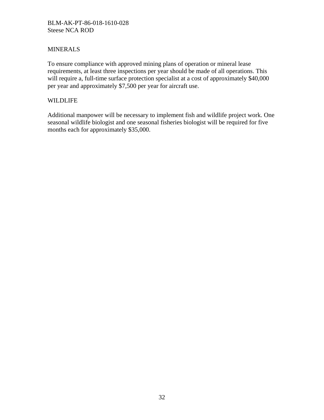## MINERALS

To ensure compliance with approved mining plans of operation or mineral lease requirements, at least three inspections per year should be made of all operations. This will require a, full-time surface protection specialist at a cost of approximately \$40,000 per year and approximately \$7,500 per year for aircraft use.

## WILDLIFE

Additional manpower will be necessary to implement fish and wildlife project work. One seasonal wildlife biologist and one seasonal fisheries biologist will be required for five months each for approximately \$35,000.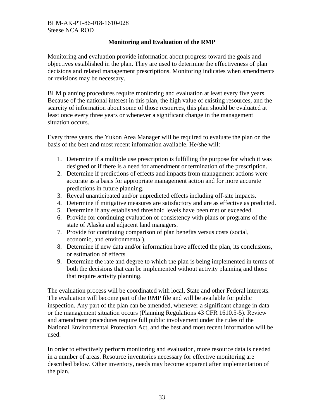## **Monitoring and Evaluation of the RMP**

Monitoring and evaluation provide information about progress toward the goals and objectives established in the plan. They are used to determine the effectiveness of plan decisions and related management prescriptions. Monitoring indicates when amendments or revisions may be necessary.

BLM planning procedures require monitoring and evaluation at least every five years. Because of the national interest in this plan, the high value of existing resources, and the scarcity of information about some of those resources, this plan should be evaluated at least once every three years or whenever a significant change in the management situation occurs.

Every three years, the Yukon Area Manager will be required to evaluate the plan on the basis of the best and most recent information available. He/she will:

- 1. Determine if a multiple use prescription is fulfilling the purpose for which it was designed or if there is a need for amendment or termination of the prescription.
- 2. Determine if predictions of effects and impacts from management actions were accurate as a basis for appropriate management action and for more accurate predictions in future planning.
- 3. Reveal unanticipated and/or unpredicted effects including off-site impacts.
- 4. Determine if mitigative measures are satisfactory and are as effective as predicted.
- 5. Determine if any established threshold levels have been met or exceeded.
- 6. Provide for continuing evaluation of consistency with plans or programs of the state of Alaska and adjacent land managers.
- 7. Provide for continuing comparison of plan benefits versus costs (social, economic, and environmental).
- 8. Determine if new data and/or information have affected the plan, its conclusions, or estimation of effects.
- 9. Determine the rate and degree to which the plan is being implemented in terms of both the decisions that can be implemented without activity planning and those that require activity planning.

The evaluation process will be coordinated with local, State and other Federal interests. The evaluation will become part of the RMP file and will be available for public inspection. Any part of the plan can be amended, whenever a significant change in data or the management situation occurs (Planning Regulations 43 CFR 1610.5-5). Review and amendment procedures require full public involvement under the rules of the National Environmental Protection Act, and the best and most recent information will be used.

In order to effectively perform monitoring and evaluation, more resource data is needed in a number of areas. Resource inventories necessary for effective monitoring are described below. Other inventory, needs may become apparent after implementation of the plan.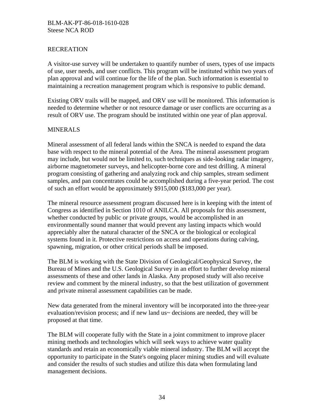## RECREATION

A visitor-use survey will be undertaken to quantify number of users, types of use impacts of use, user needs, and user conflicts. This program will be instituted within two years of plan approval and will continue for the life of the plan. Such information is essential to maintaining a recreation management program which is responsive to public demand.

Existing ORV trails will be mapped, and ORV use will be monitored. This information is needed to determine whether or not resource damage or user conflicts are occurring as a result of ORV use. The program should be instituted within one year of plan approval.

## MINERALS

Mineral assessment of all federal lands within the SNCA is needed to expand the data base with respect to the mineral potential of the Area. The mineral assessment program may include, but would not be limited to, such techniques as side-looking radar imagery, airborne magnetometer surveys, and helicopter-borne core and test drilling. A mineral program consisting of gathering and analyzing rock and chip samples, stream sediment samples, and pan concentrates could be accomplished during a five-year period. The cost of such an effort would be approximately \$915,000 (\$183,000 per year).

The mineral resource assessment program discussed here is in keeping with the intent of Congress as identified in Section 1010 of ANILCA. All proposals for this assessment, whether conducted by public or private groups, would be accomplished in an environmentally sound manner that would prevent any lasting impacts which would appreciably alter the natural character of the SNCA or the biological or ecological systems found in it. Protective restrictions on access and operations during calving, spawning, migration, or other critical periods shall be imposed.

The BLM is working with the State Division of Geological/Geophysical Survey, the Bureau of Mines and the U.S. Geological Survey in an effort to further develop mineral assessments of these and other lands in Alaska. Any proposed study will also receive review and comment by the mineral industry, so that the best utilization of government and private mineral assessment capabilities can be made.

New data generated from the mineral inventory will be incorporated into the three-year evaluation/revision process; and if new land us~ decisions are needed, they will be proposed at that time.

The BLM will cooperate fully with the State in a joint commitment to improve placer mining methods and technologies which will seek ways to achieve water quality standards and retain an economically viable mineral industry. The BLM will accept the opportunity to participate in the State's ongoing placer mining studies and will evaluate and consider the results of such studies and utilize this data when formulating land management decisions.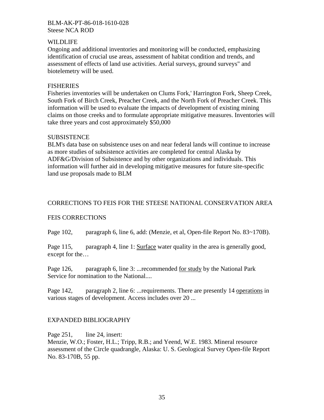## WILDLIFE

Ongoing and additional inventories and monitoring will be conducted, emphasizing identification of crucial use areas, assessment of habitat condition and trends, and assessment of effects of land use activities. Aerial surveys, ground surveys" and biotelemetry will be used.

## FISHERIES

Fisheries inventories will be undertaken on Clums Fork,' Harrington Fork, Sheep Creek, South Fork of Birch Creek, Preacher Creek, and the North Fork of Preacher Creek. This information will be used to evaluate the impacts of development of existing mining claims on those creeks and to formulate appropriate mitigative measures. Inventories will take three years and cost approximately \$50,000

## **SUBSISTENCE**

BLM's data base on subsistence uses on and near federal lands will continue to increase as more studies of subsistence activities are completed for central Alaska by ADF&G/Division of Subsistence and by other organizations and individuals. This information will further aid in developing mitigative measures for future site-specific land use proposals made to BLM

## CORRECTIONS TO FEIS FOR THE STEESE NATIONAL CONSERVATION AREA

## FEIS CORRECTIONS

Page 102, paragraph 6, line 6, add: (Menzie, et al, Open-file Report No. 83~170B).

Page 115, paragraph 4, line 1: Surface water quality in the area is generally good, except for the…

Page 126, paragraph 6, line 3: ...recommended for study by the National Park Service for nomination to the National....

Page 142, paragraph 2, line 6: ... requirements. There are presently 14 operations in various stages of development. Access includes over 20 ...

## EXPANDED BIBLIOGRAPHY

Page 251, line 24, insert:

Menzie, W.O.; Foster, H.L.; Tripp, R.B.; and Yeend, W.E. 1983. Mineral resource assessment of the Circle quadrangle, Alaska: U. S. Geological Survey Open-file Report No. 83-170B, 55 pp.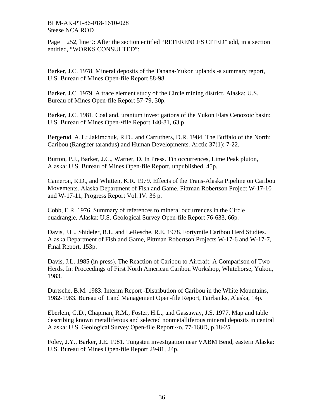Page 252, line 9: After the section entitled "REFERENCES CITED" add, in a section entitled, "WORKS CONSULTED":

Barker, J.C. 1978. Mineral deposits of the Tanana-Yukon uplands -a summary report, U.S. Bureau of Mines Open-file Report 88-98.

Barker, J.C. 1979. A trace element study of the Circle mining district, Alaska: U.S. Bureau of Mines Open-file Report 57-79, 30p.

Barker, J.C. 1981. Coal and. uranium investigations of the Yukon Flats Cenozoic basin: U.S. Bureau of Mines Open-•file Report 140-81, 63 p.

Bergerud, A.T.; Jakimchuk, R.D., and Carruthers, D.R. 1984. The Buffalo of the North: Caribou (Rangifer tarandus) and Human Developments. Arctic 37(1): 7-22.

Burton, P.J., Barker, J.C., Warner, D. In Press. Tin occurrences, Lime Peak pluton, Alaska: U.S. Bureau of Mines Open-file Report, unpublished, 45p.

Cameron, R.D., and Whitten, K.R. 1979. Effects of the Trans-Alaska Pipeline on Caribou Movements. Alaska Department of Fish and Game. Pittman Robertson Project W-17-10 and W-17-11, Progress Report Vol. IV. 36 p.

Cobb, E.R. 1976. Summary of references to mineral occurrences in the Circle quadrangle, Alaska: U.S. Geological Survey Open-file Report 76-633, 66p.

Davis, J.L., Shideler, R.I., and LeResche, R.E. 1978. Fortymile Caribou Herd Studies. Alaska Department of Fish and Game, Pittman Robertson Projects W-17-6 and W-17-7, Final Report, 153p.

Davis, J.L. 1985 (in press). The Reaction of Caribou to Aircraft: A Comparison of Two Herds. In: Proceedings of First North American Caribou Workshop, Whitehorse, Yukon, 1983.

Durtsche, B.M. 1983. Interim Report -Distribution of Caribou in the White Mountains, 1982-1983. Bureau of Land Management Open-file Report, Fairbanks, Alaska, 14p.

Eberlein, G.D., Chapman, R.M., Foster, H.L., and Gassaway, J.S. 1977. Map and table describing known metalliferous and selected nonmetalliferous mineral deposits in central Alaska: U.S. Geological Survey Open-file Report ~o. 77-168D, p.18-25.

Foley, J.Y., Barker, J.E. 1981. Tungsten investigation near VABM Bend, eastern Alaska: U.S. Bureau of Mines Open-file Report 29-81, 24p.